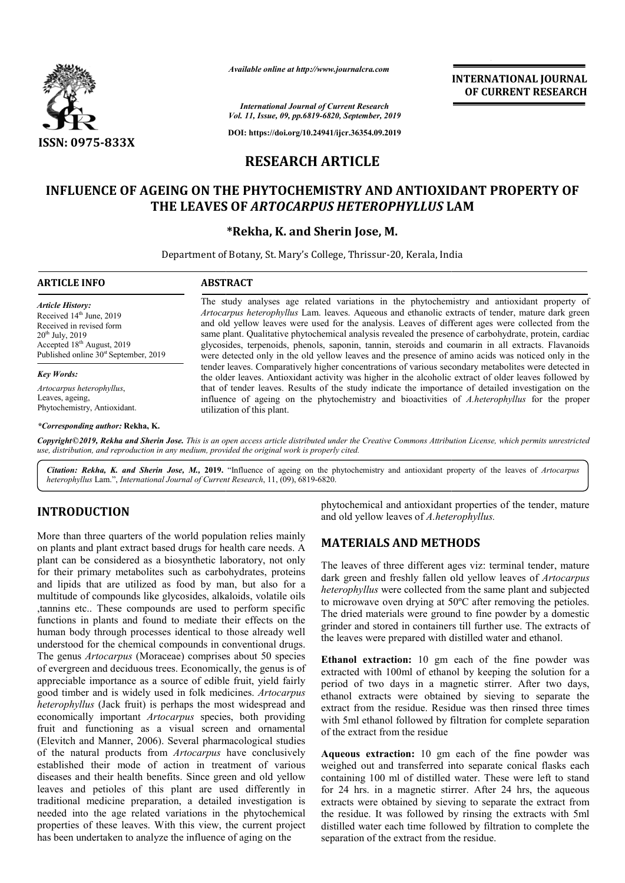

*Available online at http://www.journalcra.com*

## **RESEARCH ARTICLE**

# **INFLUENCE OF AGEING ON THE PHYTOCHEMISTRY AND ANTIOXIDANT PROPERTY OF THE LEAVES OF**  *ARTOCARPUS HETEROPHYLLUS* **LAM**

#### **\*Rekha, K. and Sherin Jose, M.**

|                                                                                                                                                                                                                                                                                                                                                                                                                                                                                                                                 | лтаните опине игнир.// www.journacra.com                                                                                                                                                                                                                                                                                                                                                                                                                                                                                                                                                                                       | <b>INTERNATIONAL JOURNAL</b><br>OF CURRENT RESEARCH                                                                                                                                                                                                                                                                                                                                                                                                                                                            |  |  |
|---------------------------------------------------------------------------------------------------------------------------------------------------------------------------------------------------------------------------------------------------------------------------------------------------------------------------------------------------------------------------------------------------------------------------------------------------------------------------------------------------------------------------------|--------------------------------------------------------------------------------------------------------------------------------------------------------------------------------------------------------------------------------------------------------------------------------------------------------------------------------------------------------------------------------------------------------------------------------------------------------------------------------------------------------------------------------------------------------------------------------------------------------------------------------|----------------------------------------------------------------------------------------------------------------------------------------------------------------------------------------------------------------------------------------------------------------------------------------------------------------------------------------------------------------------------------------------------------------------------------------------------------------------------------------------------------------|--|--|
|                                                                                                                                                                                                                                                                                                                                                                                                                                                                                                                                 |                                                                                                                                                                                                                                                                                                                                                                                                                                                                                                                                                                                                                                | <b>International Journal of Current Research</b><br>Vol. 11, Issue, 09, pp.6819-6820, September, 2019                                                                                                                                                                                                                                                                                                                                                                                                          |  |  |
|                                                                                                                                                                                                                                                                                                                                                                                                                                                                                                                                 |                                                                                                                                                                                                                                                                                                                                                                                                                                                                                                                                                                                                                                | DOI: https://doi.org/10.24941/ijcr.36354.09.2019                                                                                                                                                                                                                                                                                                                                                                                                                                                               |  |  |
| ISSN: 0975-833X                                                                                                                                                                                                                                                                                                                                                                                                                                                                                                                 | <b>RESEARCH ARTICLE</b>                                                                                                                                                                                                                                                                                                                                                                                                                                                                                                                                                                                                        |                                                                                                                                                                                                                                                                                                                                                                                                                                                                                                                |  |  |
|                                                                                                                                                                                                                                                                                                                                                                                                                                                                                                                                 |                                                                                                                                                                                                                                                                                                                                                                                                                                                                                                                                                                                                                                |                                                                                                                                                                                                                                                                                                                                                                                                                                                                                                                |  |  |
|                                                                                                                                                                                                                                                                                                                                                                                                                                                                                                                                 |                                                                                                                                                                                                                                                                                                                                                                                                                                                                                                                                                                                                                                | INFLUENCE OF AGEING ON THE PHYTOCHEMISTRY AND ANTIOXIDANT PROPERTY OF<br>THE LEAVES OF ARTOCARPUS HETEROPHYLLUS LAM                                                                                                                                                                                                                                                                                                                                                                                            |  |  |
|                                                                                                                                                                                                                                                                                                                                                                                                                                                                                                                                 | *Rekha, K. and Sherin Jose, M.                                                                                                                                                                                                                                                                                                                                                                                                                                                                                                                                                                                                 |                                                                                                                                                                                                                                                                                                                                                                                                                                                                                                                |  |  |
|                                                                                                                                                                                                                                                                                                                                                                                                                                                                                                                                 |                                                                                                                                                                                                                                                                                                                                                                                                                                                                                                                                                                                                                                | Department of Botany, St. Mary's College, Thrissur-20, Kerala, India                                                                                                                                                                                                                                                                                                                                                                                                                                           |  |  |
| <b>ARTICLE INFO</b>                                                                                                                                                                                                                                                                                                                                                                                                                                                                                                             | <b>ABSTRACT</b>                                                                                                                                                                                                                                                                                                                                                                                                                                                                                                                                                                                                                |                                                                                                                                                                                                                                                                                                                                                                                                                                                                                                                |  |  |
| <b>Article History:</b><br>Received 14 <sup>th</sup> June, 2019<br>Received in revised form<br>20 <sup>th</sup> July, 2019<br>Accepted 18 <sup>th</sup> August, 2019<br>Published online 30 <sup>st</sup> September, 2019                                                                                                                                                                                                                                                                                                       | The study analyses age related variations in the phytochemistry and antioxidant property of<br>Artocarpus heterophyllus Lam. leaves. Aqueous and ethanolic extracts of tender, mature dark green<br>and old yellow leaves were used for the analysis. Leaves of different ages were collected from the<br>same plant. Qualitative phytochemical analysis revealed the presence of carbohydrate, protein, cardiac<br>glycosides, terpenoids, phenols, saponin, tannin, steroids and coumarin in all extracts. Flavanoids<br>were detected only in the old yellow leaves and the presence of amino acids was noticed only in the |                                                                                                                                                                                                                                                                                                                                                                                                                                                                                                                |  |  |
| <b>Key Words:</b>                                                                                                                                                                                                                                                                                                                                                                                                                                                                                                               |                                                                                                                                                                                                                                                                                                                                                                                                                                                                                                                                                                                                                                | tender leaves. Comparatively higher concentrations of various secondary metabolites were detected in<br>the older leaves. Antioxidant activity was higher in the alcoholic extract of older leaves followed by                                                                                                                                                                                                                                                                                                 |  |  |
| Artocarpus heterophyllus,<br>Leaves, ageing,<br>Phytochemistry, Antioxidant.                                                                                                                                                                                                                                                                                                                                                                                                                                                    | utilization of this plant.                                                                                                                                                                                                                                                                                                                                                                                                                                                                                                                                                                                                     | that of tender leaves. Results of the study indicate the importance of detailed investigation on the<br>influence of ageing on the phytochemistry and bioactivities of A.heterophyllus for the proper                                                                                                                                                                                                                                                                                                          |  |  |
| *Corresponding author: Rekha, K.                                                                                                                                                                                                                                                                                                                                                                                                                                                                                                |                                                                                                                                                                                                                                                                                                                                                                                                                                                                                                                                                                                                                                |                                                                                                                                                                                                                                                                                                                                                                                                                                                                                                                |  |  |
| use, distribution, and reproduction in any medium, provided the original work is properly cited.                                                                                                                                                                                                                                                                                                                                                                                                                                |                                                                                                                                                                                                                                                                                                                                                                                                                                                                                                                                                                                                                                | Copyright©2019, Rekha and Sherin Jose. This is an open access article distributed under the Creative Commons Attribution License, which permits unrestricted                                                                                                                                                                                                                                                                                                                                                   |  |  |
| heterophyllus Lam.", International Journal of Current Research, 11, (09), 6819-6820.                                                                                                                                                                                                                                                                                                                                                                                                                                            |                                                                                                                                                                                                                                                                                                                                                                                                                                                                                                                                                                                                                                | Citation: Rekha, K. and Sherin Jose, M., 2019. "Influence of ageing on the phytochemistry and antioxidant property of the leaves of Artocarpus                                                                                                                                                                                                                                                                                                                                                                 |  |  |
| <b>INTRODUCTION</b>                                                                                                                                                                                                                                                                                                                                                                                                                                                                                                             |                                                                                                                                                                                                                                                                                                                                                                                                                                                                                                                                                                                                                                | phytochemical and antioxidant properties of the tender, mature<br>and old yellow leaves of A.heterophyllus.                                                                                                                                                                                                                                                                                                                                                                                                    |  |  |
| More than three quarters of the world population relies mainly<br>on plants and plant extract based drugs for health care needs. A                                                                                                                                                                                                                                                                                                                                                                                              |                                                                                                                                                                                                                                                                                                                                                                                                                                                                                                                                                                                                                                | <b>MATERIALS AND METHODS</b>                                                                                                                                                                                                                                                                                                                                                                                                                                                                                   |  |  |
| plant can be considered as a biosynthetic laboratory, not only<br>for their primary metabolites such as carbohydrates, proteins<br>and lipids that are utilized as food by man, but also for a<br>multitude of compounds like glycosides, alkaloids, volatile oils<br>tannins etc These compounds are used to perform specific<br>functions in plants and found to mediate their effects on the<br>human body through processes identical to those already well<br>understood for the chemical compounds in conventional drugs. |                                                                                                                                                                                                                                                                                                                                                                                                                                                                                                                                                                                                                                | The leaves of three different ages viz: terminal tender, mature<br>dark green and freshly fallen old yellow leaves of Artocarpus<br>heterophyllus were collected from the same plant and subjected<br>to microwave oven drying at $50^{\circ}$ C after removing the petioles.<br>The dried materials were ground to fine powder by a domestic<br>grinder and stored in containers till further use. The extracts of<br>the leaves were prepared with distilled water and ethanol.                              |  |  |
| The genus Artocarpus (Moraceae) comprises about 50 species<br>of evergreen and deciduous trees. Economically, the genus is of<br>appreciable importance as a source of edible fruit, yield fairly<br>good timber and is widely used in folk medicines. Artocarpus<br>heterophyllus (Jack fruit) is perhaps the most widespread and<br>economically important Artocarpus species, both providing<br>fruit and functioning as a visual screen and ornamental<br>(Elevitch and Manner, 2006). Several pharmacological studies      |                                                                                                                                                                                                                                                                                                                                                                                                                                                                                                                                                                                                                                | Ethanol extraction: 10 gm each of the fine powder was<br>extracted with 100ml of ethanol by keeping the solution for a<br>period of two days in a magnetic stirrer. After two days,<br>ethanol extracts were obtained by sieving to separate the<br>extract from the residue. Residue was then rinsed three times<br>with 5ml ethanol followed by filtration for complete separation<br>of the extract from the residue                                                                                        |  |  |
| of the natural products from Artocarpus have conclusively<br>established their mode of action in treatment of various<br>diseases and their health benefits. Since green and old yellow<br>leaves and petioles of this plant are used differently in<br>traditional medicine preparation, a detailed investigation is<br>needed into the age related variations in the phytochemical<br>properties of these leaves. With this view, the current project<br>has been undertaken to analyze the influence of aging on the         |                                                                                                                                                                                                                                                                                                                                                                                                                                                                                                                                                                                                                                | Aqueous extraction: 10 gm each of the fine powder was<br>weighed out and transferred into separate conical flasks each<br>containing 100 ml of distilled water. These were left to stand<br>for 24 hrs. in a magnetic stirrer. After 24 hrs, the aqueous<br>extracts were obtained by sieving to separate the extract from<br>the residue. It was followed by rinsing the extracts with 5ml<br>distilled water each time followed by filtration to complete the<br>separation of the extract from the residue. |  |  |

## **INTRODUCTION**

### **MATERIALS AND METHODS METHODS**